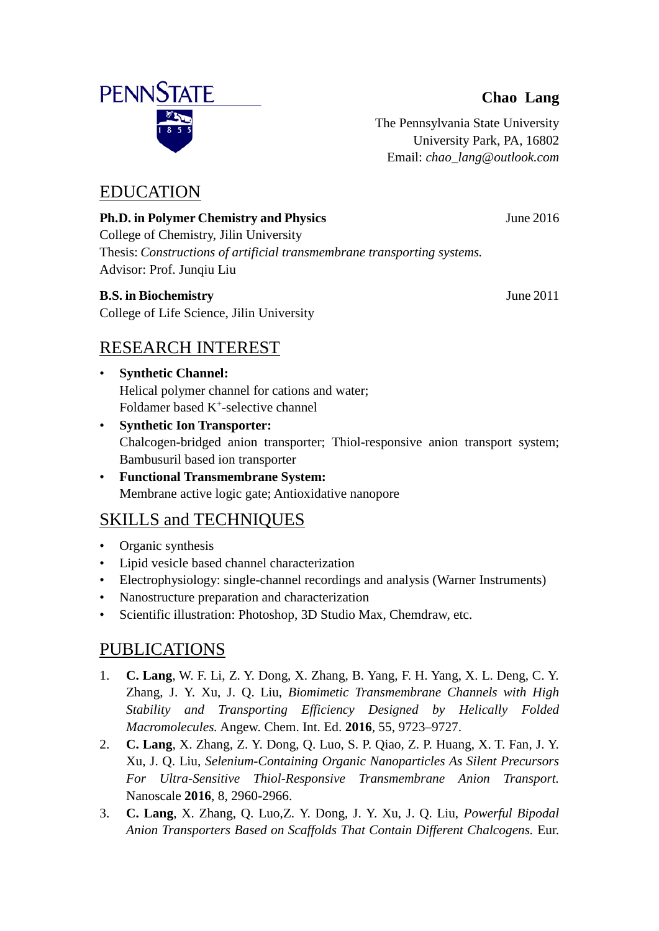#### **Chao Lang**

The Pennsylvania State University University Park, PA, 16802 Email: *chao\_lang@outlook.com*

## EDUCATION

**Ph.D. in Polymer Chemistry and Physics** June 2016 College of Chemistry, Jilin University Thesis: *Constructions of artificial transmembrane transporting systems.* Advisor: Prof. Junqiu Liu

#### **B.S. in Biochemistry** June 2011

College of Life Science, Jilin University

# RESEARCH INTEREST

- **Synthetic Channel:** Helical polymer channel for cations and water; Foldamer based  $K^+$ -selective channel
- **Synthetic Ion Transporter:** Chalcogen-bridged anion transporter; Thiol-responsive anion transport system; Bambusuril based ion transporter
- **Functional Transmembrane System:** Membrane active logic gate; Antioxidative nanopore

# SKILLS and TECHNIQUES

- Organic synthesis
- Lipid vesicle based channel characterization
- Electrophysiology: single-channel recordings and analysis (Warner Instruments)
- Nanostructure preparation and characterization
- Scientific illustration: Photoshop, 3D Studio Max, Chemdraw, etc.

## PUBLICATIONS

- 1. **C. Lang**, W. F. Li, Z. Y. Dong, X. Zhang, B. Yang, F. H. Yang, X. L. Deng, C. Y. Zhang, J. Y. Xu, J. Q. Liu, *Biomimetic Transmembrane Channels with High Stability and Transporting Efficiency Designed by Helically Folded Macromolecules.* Angew. Chem. Int. Ed. **2016**, 55, 9723–9727.
- 2. **C. Lang**, X. Zhang, Z. Y. Dong, Q. Luo, S. P. Qiao, Z. P. Huang, X. T. Fan, J. Y. Xu, J. Q. Liu, *Selenium-Containing Organic Nanoparticles As Silent Precursors For Ultra-Sensitive Thiol-Responsive Transmembrane Anion Transport.* Nanoscale **2016**, 8, 2960-2966.
- 3. **C. Lang**, X. Zhang, Q. Luo,Z. Y. Dong, J. Y. Xu, J. Q. Liu, *Powerful Bipodal Anion Transporters Based on Scaffolds That Contain Different Chalcogens.* Eur.